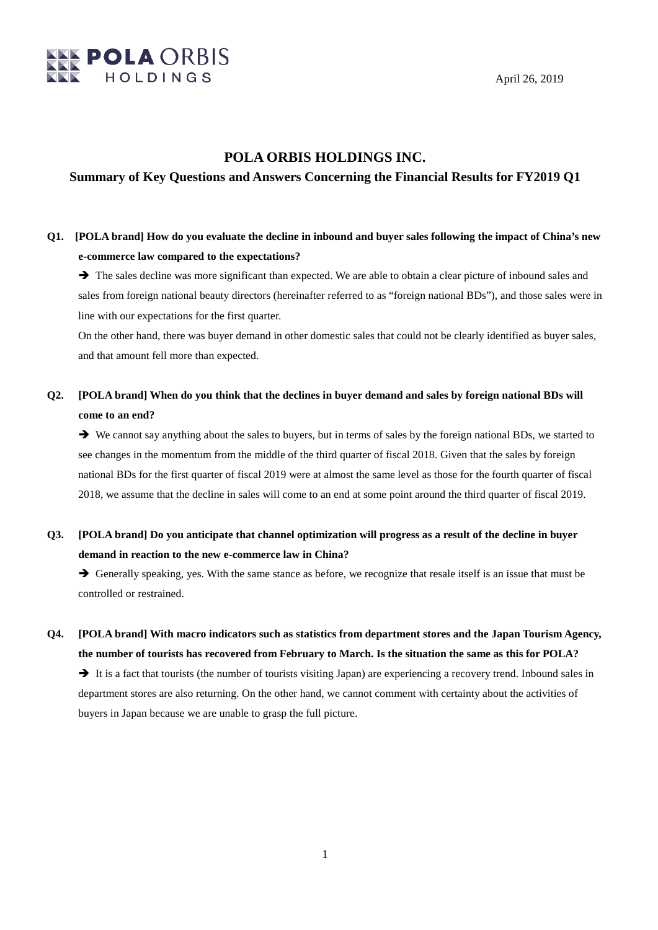

April 26, 2019

### **POLA ORBIS HOLDINGS INC.**

### **Summary of Key Questions and Answers Concerning the Financial Results for FY2019 Q1**

### **Q1. [POLA brand] How do you evaluate the decline in inbound and buyer sales following the impact of China's new e-commerce law compared to the expectations?**

 $\rightarrow$  The sales decline was more significant than expected. We are able to obtain a clear picture of inbound sales and sales from foreign national beauty directors (hereinafter referred to as "foreign national BDs"), and those sales were in line with our expectations for the first quarter.

On the other hand, there was buyer demand in other domestic sales that could not be clearly identified as buyer sales, and that amount fell more than expected.

### **Q2. [POLA brand] When do you think that the declines in buyer demand and sales by foreign national BDs will come to an end?**

 We cannot say anything about the sales to buyers, but in terms of sales by the foreign national BDs, we started to see changes in the momentum from the middle of the third quarter of fiscal 2018. Given that the sales by foreign national BDs for the first quarter of fiscal 2019 were at almost the same level as those for the fourth quarter of fiscal 2018, we assume that the decline in sales will come to an end at some point around the third quarter of fiscal 2019.

## **Q3. [POLA brand] Do you anticipate that channel optimization will progress as a result of the decline in buyer demand in reaction to the new e-commerce law in China?**

 $\rightarrow$  Generally speaking, yes. With the same stance as before, we recognize that resale itself is an issue that must be controlled or restrained.

**Q4. [POLA brand] With macro indicators such as statistics from department stores and the Japan Tourism Agency, the number of tourists has recovered from February to March. Is the situation the same as this for POLA?** It is a fact that tourists (the number of tourists visiting Japan) are experiencing a recovery trend. Inbound sales in department stores are also returning. On the other hand, we cannot comment with certainty about the activities of buyers in Japan because we are unable to grasp the full picture.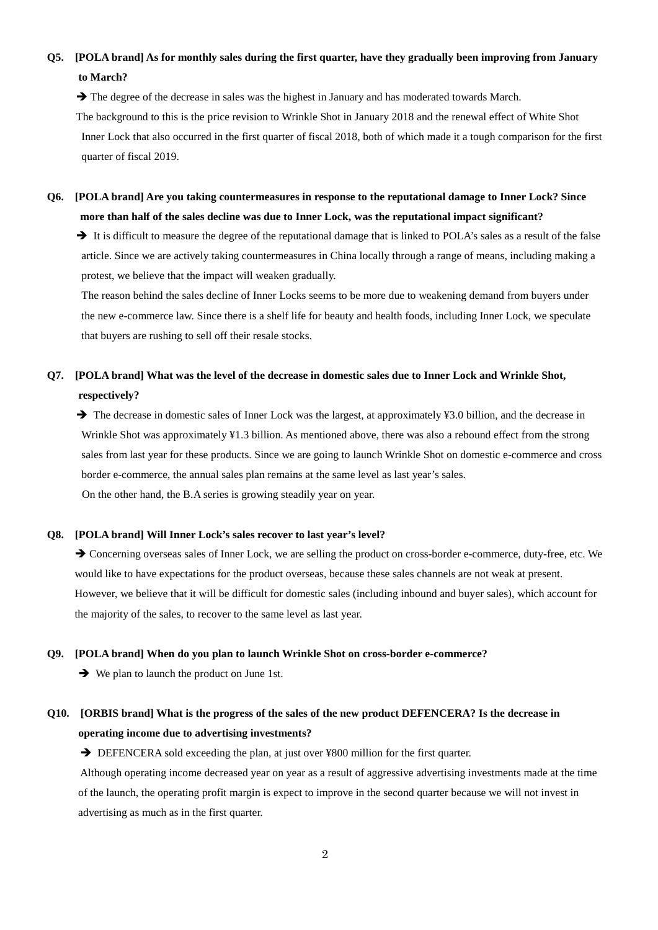## **Q5. [POLA brand] As for monthly sales during the first quarter, have they gradually been improving from January to March?**

 $\rightarrow$  The degree of the decrease in sales was the highest in January and has moderated towards March. The background to this is the price revision to Wrinkle Shot in January 2018 and the renewal effect of White Shot Inner Lock that also occurred in the first quarter of fiscal 2018, both of which made it a tough comparison for the first quarter of fiscal 2019.

### **Q6. [POLA brand] Are you taking countermeasures in response to the reputational damage to Inner Lock? Since more than half of the sales decline was due to Inner Lock, was the reputational impact significant?**

 $\rightarrow$  It is difficult to measure the degree of the reputational damage that is linked to POLA's sales as a result of the false article. Since we are actively taking countermeasures in China locally through a range of means, including making a protest, we believe that the impact will weaken gradually.

The reason behind the sales decline of Inner Locks seems to be more due to weakening demand from buyers under the new e-commerce law. Since there is a shelf life for beauty and health foods, including Inner Lock, we speculate that buyers are rushing to sell off their resale stocks.

## **Q7. [POLA brand] What was the level of the decrease in domestic sales due to Inner Lock and Wrinkle Shot, respectively?**

→ The decrease in domestic sales of Inner Lock was the largest, at approximately ¥3.0 billion, and the decrease in Wrinkle Shot was approximately ¥1.3 billion. As mentioned above, there was also a rebound effect from the strong sales from last year for these products. Since we are going to launch Wrinkle Shot on domestic e-commerce and cross border e-commerce, the annual sales plan remains at the same level as last year's sales. On the other hand, the B.A series is growing steadily year on year.

#### **Q8. [POLA brand] Will Inner Lock's sales recover to last year's level?**

 Concerning overseas sales of Inner Lock, we are selling the product on cross-border e-commerce, duty-free, etc. We would like to have expectations for the product overseas, because these sales channels are not weak at present. However, we believe that it will be difficult for domestic sales (including inbound and buyer sales), which account for the majority of the sales, to recover to the same level as last year.

#### **Q9. [POLA brand] When do you plan to launch Wrinkle Shot on cross-border e-commerce?**

 $\rightarrow$  We plan to launch the product on June 1st.

## **Q10. [ORBIS brand] What is the progress of the sales of the new product DEFENCERA? Is the decrease in operating income due to advertising investments?**

→ DEFENCERA sold exceeding the plan, at just over ¥800 million for the first quarter.

Although operating income decreased year on year as a result of aggressive advertising investments made at the time of the launch, the operating profit margin is expect to improve in the second quarter because we will not invest in advertising as much as in the first quarter.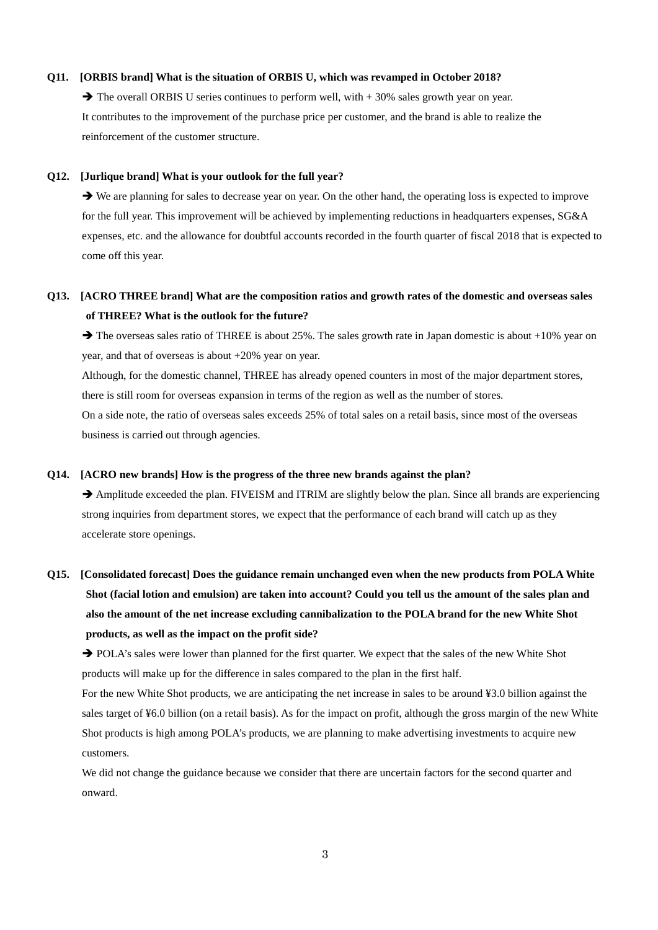#### **Q11. [ORBIS brand] What is the situation of ORBIS U, which was revamped in October 2018?**

 $\rightarrow$  The overall ORBIS U series continues to perform well, with  $+30\%$  sales growth year on year. It contributes to the improvement of the purchase price per customer, and the brand is able to realize the reinforcement of the customer structure.

#### **Q12. [Jurlique brand] What is your outlook for the full year?**

 We are planning for sales to decrease year on year. On the other hand, the operating loss is expected to improve for the full year. This improvement will be achieved by implementing reductions in headquarters expenses, SG&A expenses, etc. and the allowance for doubtful accounts recorded in the fourth quarter of fiscal 2018 that is expected to come off this year.

### **Q13. [ACRO THREE brand] What are the composition ratios and growth rates of the domestic and overseas sales of THREE? What is the outlook for the future?**

 $\rightarrow$  The overseas sales ratio of THREE is about 25%. The sales growth rate in Japan domestic is about +10% year on year, and that of overseas is about +20% year on year.

Although, for the domestic channel, THREE has already opened counters in most of the major department stores, there is still room for overseas expansion in terms of the region as well as the number of stores.

On a side note, the ratio of overseas sales exceeds 25% of total sales on a retail basis, since most of the overseas business is carried out through agencies.

#### **Q14. [ACRO new brands] How is the progress of the three new brands against the plan?**

 Amplitude exceeded the plan. FIVEISM and ITRIM are slightly below the plan. Since all brands are experiencing strong inquiries from department stores, we expect that the performance of each brand will catch up as they accelerate store openings.

# **Q15. [Consolidated forecast] Does the guidance remain unchanged even when the new products from POLA White Shot (facial lotion and emulsion) are taken into account? Could you tell us the amount of the sales plan and also the amount of the net increase excluding cannibalization to the POLA brand for the new White Shot products, as well as the impact on the profit side?**

→ POLA's sales were lower than planned for the first quarter. We expect that the sales of the new White Shot products will make up for the difference in sales compared to the plan in the first half.

For the new White Shot products, we are anticipating the net increase in sales to be around ¥3.0 billion against the sales target of ¥6.0 billion (on a retail basis). As for the impact on profit, although the gross margin of the new White Shot products is high among POLA's products, we are planning to make advertising investments to acquire new customers.

We did not change the guidance because we consider that there are uncertain factors for the second quarter and onward.